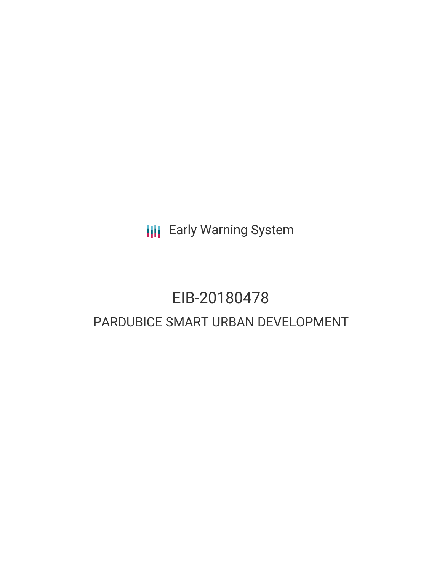**III** Early Warning System

# EIB-20180478

## PARDUBICE SMART URBAN DEVELOPMENT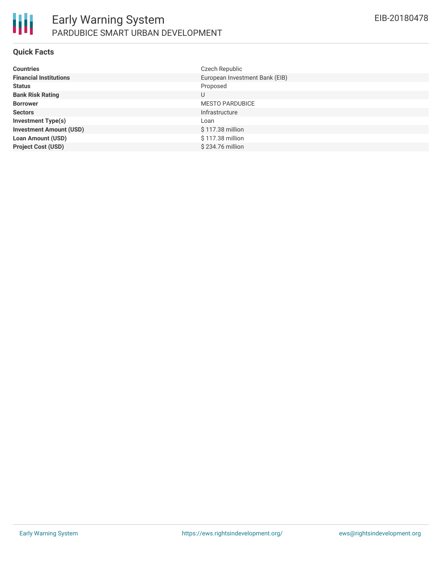

### **Quick Facts**

| <b>Countries</b>               | Czech Republic                 |
|--------------------------------|--------------------------------|
| <b>Financial Institutions</b>  | European Investment Bank (EIB) |
| <b>Status</b>                  | Proposed                       |
| <b>Bank Risk Rating</b>        | U                              |
| <b>Borrower</b>                | <b>MESTO PARDUBICE</b>         |
| <b>Sectors</b>                 | Infrastructure                 |
| <b>Investment Type(s)</b>      | Loan                           |
| <b>Investment Amount (USD)</b> | \$117.38 million               |
| <b>Loan Amount (USD)</b>       | \$117.38 million               |
| <b>Project Cost (USD)</b>      | \$234.76 million               |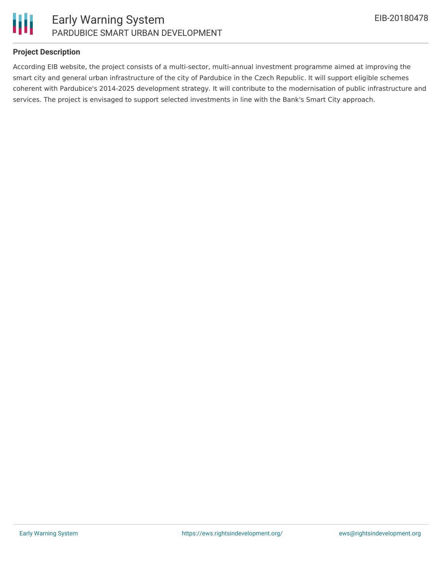



### **Project Description**

According EIB website, the project consists of a multi-sector, multi-annual investment programme aimed at improving the smart city and general urban infrastructure of the city of Pardubice in the Czech Republic. It will support eligible schemes coherent with Pardubice's 2014-2025 development strategy. It will contribute to the modernisation of public infrastructure and services. The project is envisaged to support selected investments in line with the Bank's Smart City approach.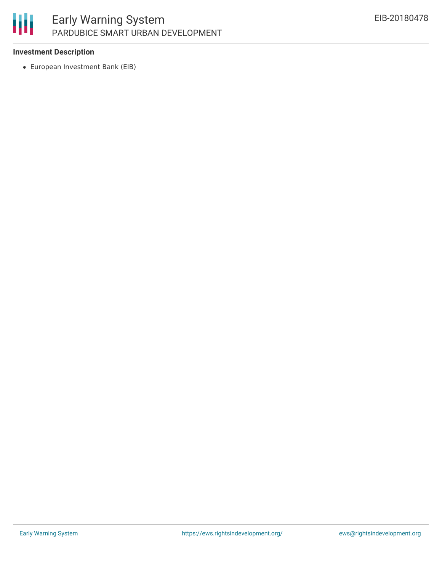# 朋

### Early Warning System PARDUBICE SMART URBAN DEVELOPMENT

### **Investment Description**

European Investment Bank (EIB)